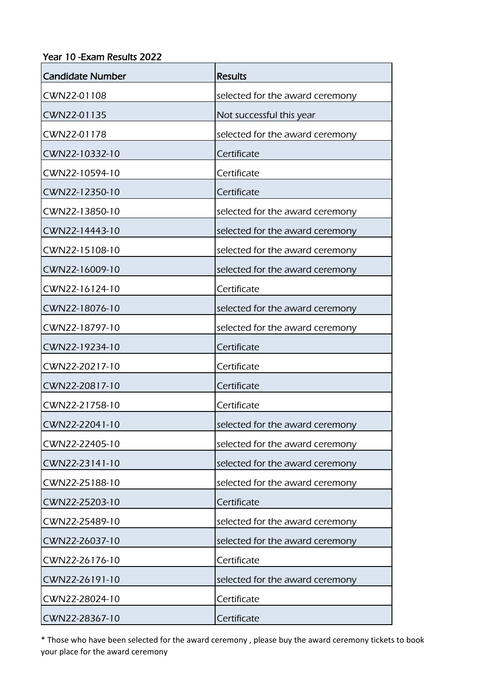## Year 10 -Exam Results 2022

| <b>Candidate Number</b> | <b>Results</b>                  |
|-------------------------|---------------------------------|
| CWN22-01108             | selected for the award ceremony |
| CWN22-01135             | Not successful this year        |
| CWN22-01178             | selected for the award ceremony |
| CWN22-10332-10          | Certificate                     |
| CWN22-10594-10          | Certificate                     |
| CWN22-12350-10          | Certificate                     |
| CWN22-13850-10          | selected for the award ceremony |
| CWN22-14443-10          | selected for the award ceremony |
| CWN22-15108-10          | selected for the award ceremony |
| CWN22-16009-10          | selected for the award ceremony |
| CWN22-16124-10          | Certificate                     |
| CWN22-18076-10          | selected for the award ceremony |
| CWN22-18797-10          | selected for the award ceremony |
| CWN22-19234-10          | Certificate                     |
| CWN22-20217-10          | Certificate                     |
| CWN22-20817-10          | Certificate                     |
| CWN22-21758-10          | Certificate                     |
| CWN22-22041-10          | selected for the award ceremony |
| CWN22-22405-10          | selected for the award ceremony |
| CWN22-23141-10          | selected for the award ceremony |
| CWN22-25188-10          | selected for the award ceremony |
| CWN22-25203-10          | Certificate                     |
| CWN22-25489-10          | selected for the award ceremony |
| CWN22-26037-10          | selected for the award ceremony |
| CWN22-26176-10          | Certificate                     |
| CWN22-26191-10          | selected for the award ceremony |
| CWN22-28024-10          | Certificate                     |
| CWN22-28367-10          | Certificate                     |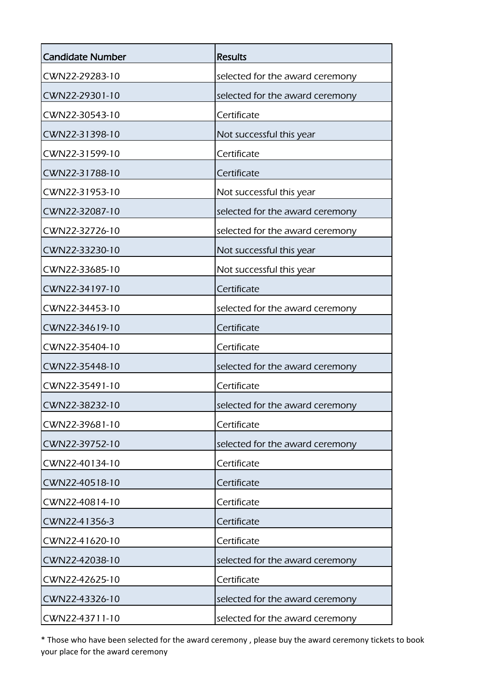| <b>Candidate Number</b> | <b>Results</b>                  |
|-------------------------|---------------------------------|
| CWN22-29283-10          | selected for the award ceremony |
| CWN22-29301-10          | selected for the award ceremony |
| CWN22-30543-10          | Certificate                     |
| CWN22-31398-10          | Not successful this year        |
| CWN22-31599-10          | Certificate                     |
| CWN22-31788-10          | Certificate                     |
| CWN22-31953-10          | Not successful this year        |
| CWN22-32087-10          | selected for the award ceremony |
| CWN22-32726-10          | selected for the award ceremony |
| CWN22-33230-10          | Not successful this year        |
| CWN22-33685-10          | Not successful this year        |
| CWN22-34197-10          | Certificate                     |
| CWN22-34453-10          | selected for the award ceremony |
| CWN22-34619-10          | Certificate                     |
| CWN22-35404-10          | Certificate                     |
| CWN22-35448-10          | selected for the award ceremony |
| CWN22-35491-10          | Certificate                     |
| CWN22-38232-10          | selected for the award ceremony |
| CWN22-39681-10          | Certificate                     |
| CWN22-39752-10          | selected for the award ceremony |
| CWN22-40134-10          | Certificate                     |
| CWN22-40518-10          | Certificate                     |
| CWN22-40814-10          | Certificate                     |
| CWN22-41356-3           | Certificate                     |
| CWN22-41620-10          | Certificate                     |
| CWN22-42038-10          | selected for the award ceremony |
| CWN22-42625-10          | Certificate                     |
| CWN22-43326-10          | selected for the award ceremony |
| CWN22-43711-10          | selected for the award ceremony |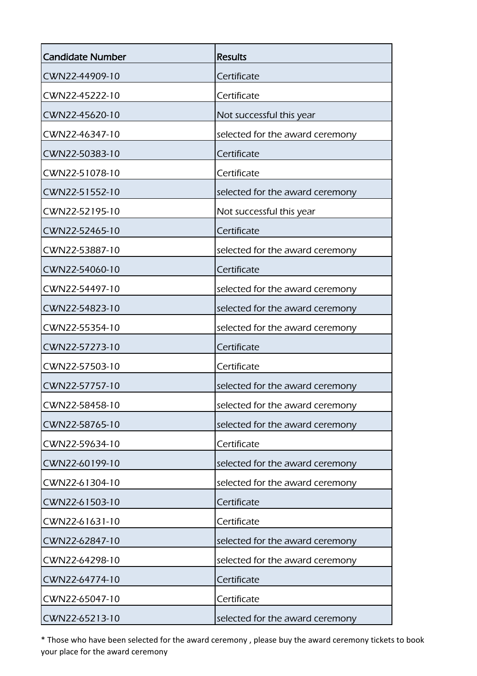| <b>Candidate Number</b> | <b>Results</b>                  |
|-------------------------|---------------------------------|
| CWN22-44909-10          | Certificate                     |
| CWN22-45222-10          | Certificate                     |
| CWN22-45620-10          | Not successful this year        |
| CWN22-46347-10          | selected for the award ceremony |
| CWN22-50383-10          | Certificate                     |
| CWN22-51078-10          | Certificate                     |
| CWN22-51552-10          | selected for the award ceremony |
| CWN22-52195-10          | Not successful this year        |
| CWN22-52465-10          | Certificate                     |
| CWN22-53887-10          | selected for the award ceremony |
| CWN22-54060-10          | Certificate                     |
| CWN22-54497-10          | selected for the award ceremony |
| CWN22-54823-10          | selected for the award ceremony |
| CWN22-55354-10          | selected for the award ceremony |
| CWN22-57273-10          | Certificate                     |
| CWN22-57503-10          | Certificate                     |
| CWN22-57757-10          | selected for the award ceremony |
| CWN22-58458-10          | selected for the award ceremony |
| CWN22-58765-10          | selected for the award ceremony |
| CWN22-59634-10          | Certificate                     |
| CWN22-60199-10          | selected for the award ceremony |
| CWN22-61304-10          | selected for the award ceremony |
| CWN22-61503-10          | Certificate                     |
| CWN22-61631-10          | Certificate                     |
| CWN22-62847-10          | selected for the award ceremony |
| CWN22-64298-10          | selected for the award ceremony |
| CWN22-64774-10          | Certificate                     |
| CWN22-65047-10          | Certificate                     |
| CWN22-65213-10          | selected for the award ceremony |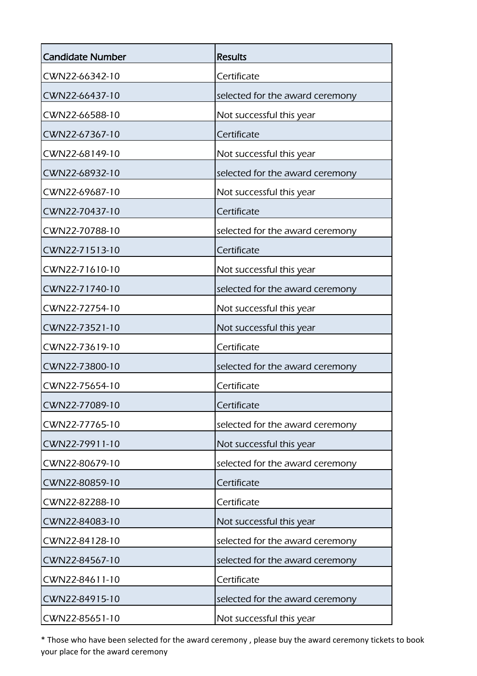| <b>Candidate Number</b> | <b>Results</b>                  |
|-------------------------|---------------------------------|
| CWN22-66342-10          | Certificate                     |
| CWN22-66437-10          | selected for the award ceremony |
| CWN22-66588-10          | Not successful this year        |
| CWN22-67367-10          | Certificate                     |
| CWN22-68149-10          | Not successful this year        |
| CWN22-68932-10          | selected for the award ceremony |
| CWN22-69687-10          | Not successful this year        |
| CWN22-70437-10          | Certificate                     |
| CWN22-70788-10          | selected for the award ceremony |
| CWN22-71513-10          | Certificate                     |
| CWN22-71610-10          | Not successful this year        |
| CWN22-71740-10          | selected for the award ceremony |
| CWN22-72754-10          | Not successful this year        |
| CWN22-73521-10          | Not successful this year        |
| CWN22-73619-10          | Certificate                     |
| CWN22-73800-10          | selected for the award ceremony |
| CWN22-75654-10          | Certificate                     |
| CWN22-77089-10          | Certificate                     |
| CWN22-77765-10          | selected for the award ceremony |
| CWN22-79911-10          | Not successful this year        |
| CWN22-80679-10          | selected for the award ceremony |
| CWN22-80859-10          | Certificate                     |
| CWN22-82288-10          | Certificate                     |
| CWN22-84083-10          | Not successful this year        |
| CWN22-84128-10          | selected for the award ceremony |
| CWN22-84567-10          | selected for the award ceremony |
| CWN22-84611-10          | Certificate                     |
| CWN22-84915-10          | selected for the award ceremony |
| CWN22-85651-10          | Not successful this year        |